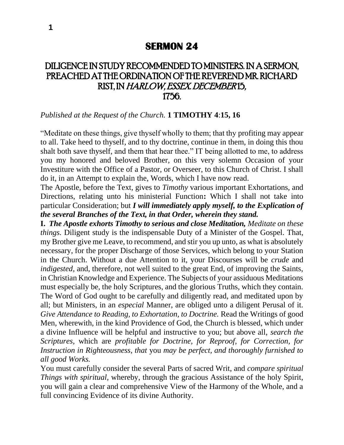## DILIGENCE IN STUDY RECOMMENDED TO MINISTERS. IN A SERMON, PREACHED AT THE ORDINATION OF THE REVEREND MR. RICHARD RIST, IN HARLOW, ESSEX. DECEMBER 15, 1756.

## *Published at the Request of the Church.* **1 TIMOTHY 4**:**15, 16**

"Meditate on these things, give thyself wholly to them; that thy profiting may appear to all. Take heed to thyself, and to thy doctrine, continue in them, in doing this thou shalt both save thyself, and them that hear thee." IT being allotted to me, to address you my honored and beloved Brother, on this very solemn Occasion of your Investiture with the Office of a Pastor, or Overseer, to this Church of Christ. I shall do it, in an Attempt to explain the, Words, which I have now read.

The Apostle, before the Text, gives to *Timothy* various important Exhortations, and Directions, relating unto his ministerial Function**:** Which I shall not take into particular Consideration; but *I will immediately apply myself, to the Explication of the several Branches of the Text, in that Order, wherein they stand.*

**I.** *The Apostle exhorts Timothy to serious and close Meditation, Meditate on these things.* Diligent study is the indispensable Duty of a Minister of the Gospel. That, my Brother give me Leave, to recommend, and stir you up unto, as what is absolutely necessary, for the proper Discharge of those Services, which belong to your Station in the Church. Without a due Attention to it, your Discourses will be *crude* and *indigested*, and, therefore, not well suited to the great End, of improving the Saints, in Christian Knowledge and Experience. The Subjects of your assiduous Meditations must especially be, the holy Scriptures, and the glorious Truths, which they contain. The Word of God ought to be carefully and diligently read, and meditated upon by all; but Ministers, in an *especial* Manner, are obliged unto a diligent Perusal of it. *Give Attendance to Reading, to Exhortation, to Doctrine.* Read the Writings of good Men, wherewith, in the kind Providence of God, the Church is blessed, which under a divine Influence will be helpful and instructive to you; but above all, *search the Scriptures,* which are *profitable for Doctrine, for Reproof, for Correction, for Instruction in Righteousness, that* you *may be perfect, and thoroughly furnished to all good Works.*

You must carefully consider the several Parts of sacred Writ, and *compare spiritual Things with spiritual,* whereby, through the gracious Assistance of the holy Spirit, you will gain a clear and comprehensive View of the Harmony of the Whole, and a full convincing Evidence of its divine Authority.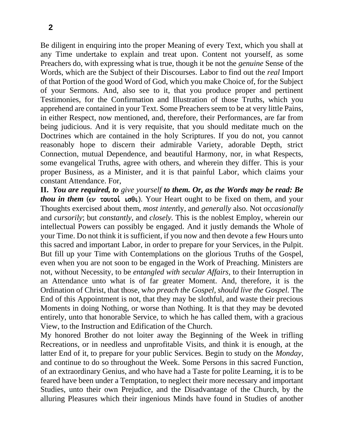Be diligent in enquiring into the proper Meaning of every Text, which you shall at any Time undertake to explain and treat upon. Content not yourself, as some Preachers do, with expressing what is true, though it be not the *genuine* Sense of the Words, which are the Subject of their Discourses. Labor to find out the *real* Import of that Portion of the good Word of God, which you make Choice of, for the Subject of your Sermons. And, also see to it, that you produce proper and pertinent Testimonies, for the Confirmation and Illustration of those Truths, which you apprehend are contained in your Text. Some Preachers seem to be at very little Pains, in either Respect, now mentioned, and, therefore, their Performances, are far from being judicious. And it is very requisite, that you should meditate much on the Doctrines which are contained in the holy Scriptures. If you do not, you cannot reasonably hope to discern their admirable Variety, adorable Depth, strict Connection, mutual Dependence, and beautiful Harmony, nor, in what Respects, some evangelical Truths, agree with others, and wherein they differ. This is your proper Business, as a Minister, and it is that painful Labor, which claims your constant Attendance. For,

**II.** *You are required, to give yourself to them. Or, as the Words may be read: Be thou in them* ( $\epsilon \nu$  τουτοί ισθι). Your Heart ought to be fixed on them, and your Thoughts exercised about them, *most intent*ly, and *generally* also. Not *occasionally*  and *cursorily*; but *constantly,* and *closely.* This is the noblest Employ, wherein our intellectual Powers can possibly be engaged. And it justly demands the Whole of your Time. Do not think it is sufficient, if you now and then devote a few Hours unto this sacred and important Labor, in order to prepare for your Services, in the Pulpit. But fill up your Time with Contemplations on the glorious Truths of the Gospel, even when you are not soon to be engaged in the Work of Preaching. Ministers are not, without Necessity, to be *entangled with secular Affairs,* to their Interruption in an Attendance unto what is of far greater Moment. And, therefore, it is the Ordination of Christ, that those, w*ho preach the Gospel, should live the Gospel.* The End of this Appointment is not, that they may be slothful, and waste their precious Moments in doing Nothing, or worse than Nothing. It is that they may be devoted entirely, unto that honorable Service, to which he has called them, with a gracious View, to the Instruction and Edification of the Church.

My honored Brother do not loiter away the Beginning of the Week in trifling Recreations, or in needless and unprofitable Visits, and think it is enough, at the latter End of it, to prepare for your public Services. Begin to study on the *Monday,*  and continue to do so throughout the Week. Some Persons in this sacred Function, of an extraordinary Genius, and who have had a Taste for polite Learning, it is to be feared have been under a Temptation, to neglect their more necessary and important Studies, unto their own Prejudice, and the Disadvantage of the Church, by the alluring Pleasures which their ingenious Minds have found in Studies of another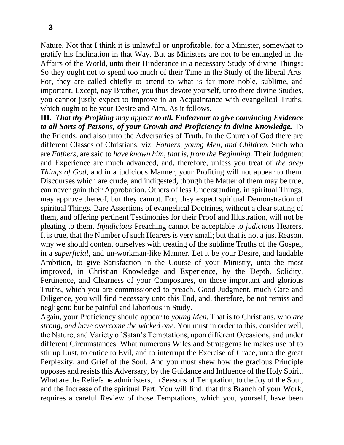Nature. Not that I think it is unlawful or unprofitable, for a Minister, somewhat to gratify his Inclination in that Way. But as Ministers are not to be entangled in the Affairs of the World, unto their Hinderance in a necessary Study of divine Things**:**  So they ought not to spend too much of their Time in the Study of the liberal Arts. For, they are called chiefly to attend to what is far more noble, sublime, and important. Except, nay Brother, you thus devote yourself, unto there divine Studies, you cannot justly expect to improve in an Acquaintance with evangelical Truths, which ought to be your Desire and Aim. As it follows,

**III.** *That thy Profiting may appear to all. Endeavour to give convincing Evidence to all Sorts of Persons, of your Growth and Proficiency in divine Knowledge.* To the Friends, and also unto the Adversaries of Truth. In the Church of God there are different Classes of Christians, viz. *Fathers, young Men, and Children.* Such who are *Fathers,* are said to *have known him, that is, from the Beginning.* Their Judgment and Experience are much advanced, and, therefore, unless you treat of *the deep Things of God,* and in a judicious Manner, your Profiting will not appear to them. Discourses which are crude, and indigested, though the Matter of them may be true, can never gain their Approbation. Others of less Understanding, in spiritual Things, may approve thereof, but they cannot. For, they expect spiritual Demonstration of spiritual Things. Bare Assertions of evangelical Doctrines, without a clear stating of them, and offering pertinent Testimonies for their Proof and Illustration, will not be pleating to them. *Injudicious* Preaching cannot be acceptable to *judicious* Hearers. It is true, that the Number of such Hearers is very small; but that is not a just Reason, why we should content ourselves with treating of the sublime Truths of the Gospel, in a *superficial,* and un-workman-like Manner. Let it be your Desire, and laudable Ambition, to give Satisfaction in the Course of your Ministry, unto the most improved, in Christian Knowledge and Experience, by the Depth, Solidity, Pertinence, and Clearness of your Composures, on those important and glorious Truths, which you are commissioned to preach. Good Judgment, much Care and Diligence, you will find necessary unto this End, and, therefore, be not remiss and negligent; but be painful and laborious in Study.

Again, your Proficiency should appear to *young Men.* That is to Christians, who *are strong, and have overcome the wicked one.* You must in order to this, consider well, the Nature, and Variety of Satan's Temptations, upon different Occasions, and under different Circumstances. What numerous Wiles and Stratagems he makes use of to stir up Lust, to entice to Evil, and to interrupt the Exercise of Grace, unto the great Perplexity, and Grief of the Soul. And you must shew how the gracious Principle opposes and resists this Adversary, by the Guidance and Influence of the Holy Spirit. What are the Reliefs he administers, in Seasons of Temptation, to the Joy of the Soul, and the Increase of the spiritual Part. You will find, that this Branch of your Work, requires a careful Review of those Temptations, which you, yourself, have been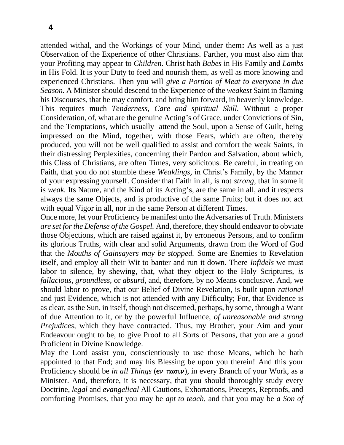attended withal, and the Workings of your Mind, under them**:** As well as a just Observation of the Experience of other Christians. Farther, you must also aim that your Profiting may appear to *Children.* Christ hath *Babes* in His Family and *Lambs*  in His Fold. It is your Duty to feed and nourish them, as well as more knowing and experienced Christians. Then you will *give a Portion of Meat to everyone in due Season.* A Minister should descend to the Experience of the *weakest* Saint in flaming his Discourses, that he may comfort, and bring him forward, in heavenly knowledge. This requires much *Tenderness, Care and spiritual Skill.* Without a proper Consideration, of, what are the genuine Acting's of Grace, under Convictions of Sin, and the Temptations, which usually attend the Soul, upon a Sense of Guilt, being impressed on the Mind, together, with those Fears, which are often, thereby produced, you will not be well qualified to assist and comfort the weak Saints, in their distressing Perplexities, concerning their Pardon and Salvation, about which, this Class of Christians, are often Times, very solicitous. Be careful, in treating on Faith, that you do not stumble these *Weaklings,* in Christ's Family, by the Manner of your expressing yourself. Consider that Faith in all, is not *strong,* that in some it is *weak.* Its Nature, and the Kind of its Acting's, are the same in all, and it respects always the same Objects, and is productive of the same Fruits; but it does not act with equal Vigor in all, nor in the same Person at different Times.

Once more, let your Proficiency be manifest unto the Adversaries of Truth. Ministers *are set for the Defense of the Gospel.* And, therefore, they should endeavor to obviate those Objections, which are raised against it, by erroneous Persons, and to confirm its glorious Truths, with clear and solid Arguments, drawn from the Word of God that the *Mouths of Gainsayers may be stopped.* Some are Enemies to Revelation itself, and employ all their Wit to banter and run it down. There *Infidels* we must labor to silence, by shewing, that, what they object to the Holy Scriptures, *is fallacious, groundless,* or *absurd,* and, therefore, by no Means conclusive. And, we should labor to prove, that our Belief of Divine Revelation, is built upon *rational*  and just Evidence, which is not attended with any Difficulty; For, that Evidence is as clear, as the Sun, in itself, though not discerned, perhaps, by some, through a Want of due Attention to it, or by the powerful Influence, *of unreasonable and strong Prejudices,* which they have contracted. Thus, my Brother, your Aim and your Endeavour ought to be, to give Proof to all Sorts of Persons, that you are a *good*  Proficient in Divine Knowledge.

May the Lord assist you, conscientiously to use those Means, which he hath appointed to that End; and may his Blessing be upon you therein! And this your Proficiency should be *in all Things* ( $\epsilon \nu$   $\pi \alpha \sigma \nu$ ), in every Branch of your Work, as a Minister. And, therefore, it is necessary, that you should thoroughly study every Doctrine, *legal* and *evangelical* All Cautions, Exhortations, Precepts, Reproofs, and comforting Promises, that you may be *apt to teach,* and that you may be *a Son of*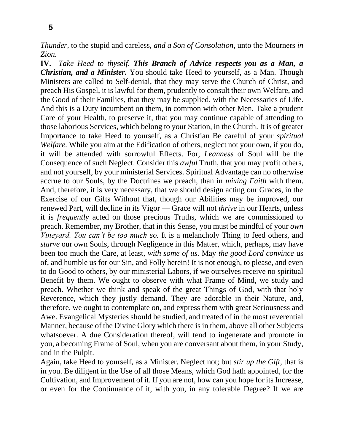*Thunder,* to the stupid and careless, *and a Son of Consolation,* unto the Mourners *in Zion.*

**IV.** *Take Heed to thyself. This Branch of Advice respects you as a Man, a Christian, and a Minister.* You should take Heed to yourself, as a Man. Though Ministers are called to Self-denial, that they may serve the Church of Christ, and preach His Gospel, it is lawful for them, prudently to consult their own Welfare, and the Good of their Families, that they may be supplied, with the Necessaries of Life. And this is a Duty incumbent on them, in common with other Men. Take a prudent Care of your Health, to preserve it, that you may continue capable of attending to those laborious Services, which belong to your Station, in the Church. It is of greater Importance to take Heed to yourself, as a Christian Be careful of your *spiritual Welfare.* While you aim at the Edification of others, neglect not your own, if you do, it will be attended with sorrowful Effects. For, *Leanness* of Soul will be the Consequence of such Neglect. Consider this *awful* Truth, that you may profit others, and not yourself, by your ministerial Services. Spiritual Advantage can no otherwise accrue to our Souls, by the Doctrines we preach, than in *mixing Faith* with them. And, therefore, it is very necessary, that we should design acting our Graces, in the Exercise of our Gifts Without that, though our Abilities may be improved, our renewed Part, will decline in its Vigor — Grace will not *thrive* in our Hearts, unless it is *frequently* acted on those precious Truths, which we are commissioned to preach. Remember, my Brother, that in this Sense, you must be mindful of your *own Vineyard. You can't be too much so.* It is a melancholy Thing to feed others, and *starve* our own Souls, through Negligence in this Matter, which, perhaps, may have been too much the Care, at least, *with some of us.* May *the good Lord convince* us of, and humble us for our Sin, and Folly herein! It is not enough, to please, and even to do Good to others, by our ministerial Labors, if we ourselves receive no spiritual Benefit by them. We ought to observe with what Frame of Mind, we study and preach. Whether we think and speak of the great Things of God, with that holy Reverence, which they justly demand. They are adorable in their Nature, and, therefore, we ought to contemplate on, and express them with great Seriousness and Awe. Evangelical Mysteries should be studied, and treated of in the most reverential Manner, because of the Divine Glory which there is in them, above all other Subjects whatsoever. A due Consideration thereof, will tend to ingenerate and promote in you, a becoming Frame of Soul, when you are conversant about them, in your Study, and in the Pulpit.

Again, take Heed to yourself, as a Minister. Neglect not; but *stir up the Gift,* that is in you. Be diligent in the Use of all those Means, which God hath appointed, for the Cultivation, and Improvement of it. If you are not, how can you hope for its Increase, or even for the Continuance of it, with you, in any tolerable Degree? If we are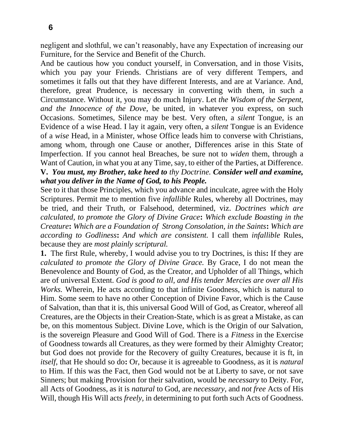negligent and slothful, we can't reasonably, have any Expectation of increasing our Furniture, for the Service and Benefit of the Church.

And be cautious how you conduct yourself, in Conversation, and in those Visits, which you pay your Friends. Christians are of very different Tempers, and sometimes it falls out that they have different Interests, and are at Variance. And, therefore, great Prudence, is necessary in converting with them, in such a Circumstance. Without it, you may do much Injury. Let *the Wisdom of the Serpent, and the Innocence of the Dove,* be united, in whatever you express, on such Occasions. Sometimes, Silence may be best. Very often, a *silent* Tongue, is an Evidence of a wise Head. I lay it again, very often, a *silent* Tongue is an Evidence of a *wise* Head, in a Minister, whose Office leads him to converse with Christians, among whom, through one Cause or another, Differences arise in this State of Imperfection. If you cannot heal Breaches, be sure not to *widen* them, through a Want of Caution, in what you at any Time, say, to either of the Parties, at Difference. **V.** *You must, my Brother, take heed to thy Doctrine. Consider well and examine, what you deliver in the Name of God, to his People.*

See to it that those Principles, which you advance and inculcate, agree with the Holy Scriptures. Permit me to mention five *infallible* Rules, whereby all Doctrines, may be tried, and their Truth, or Falsehood, determined, viz. *Doctrines which are calculated, to promote the Glory of Divine Grace***:** *Which exclude Boasting in the Creature***:** *Which are a Foundation of Strong Consolation, in the Saints***:** *Which are according to Godliness***:** *And which are consistent.* I call them *infallible* Rules, because they are *most plainly scriptural.*

**1.** The first Rule, whereby, I would advise you to try Doctrines, is this**:** If they are *calculated to promote the Glory of Divine Grace.* By Grace, I do not mean the Benevolence and Bounty of God, as the Creator, and Upholder of all Things, which are of universal Extent. *God is good to all, and His tender Mercies are over all His Works.* Wherein, He acts according to that infinite Goodness, which is natural to Him. Some seem to have no other Conception of Divine Favor, which is the Cause of Salvation, than that it is, this universal Good Will of God, as Creator, whereof all Creatures, are the Objects in their Creation-State, which is as great a Mistake, as can be, on this momentous Subject. Divine Love, which is the Origin of our Salvation, is the sovereign Pleasure and Good Will of God. There is a *Fitness* in the Exercise of Goodness towards all Creatures, as they were formed by their Almighty Creator; but God does not provide for the Recovery of guilty Creatures, because it is ft, in *itself,* that He should so do**:** Or, because it is agreeable to Goodness, as it is *natural*  to Him. If this was the Fact, then God would not be at Liberty to save, or not save Sinners; but making Provision for their salvation, would be *necessary* to Deity. For, all Acts of Goodness, as it is *natural* to God, are *necessary,* and *not free* Acts of His Will, though His Will acts *freely,* in determining to put forth such Acts of Goodness.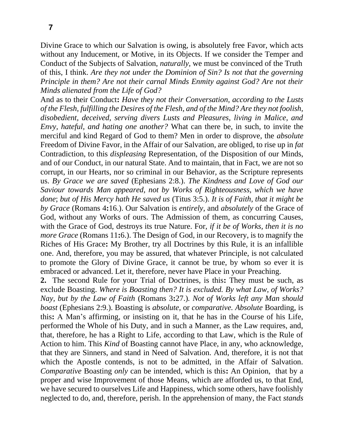Divine Grace to which our Salvation is owing, is absolutely free Favor, which acts without any Inducement, or Motive, in its Objects. If we consider the Temper and Conduct of the Subjects of Salvation, *naturally,* we must be convinced of the Truth of this, I think. *Are they not under the Dominion of Sin? Is not that the governing Principle in them? Are not their carnal Minds Enmity against God? Are not their Minds alienated from the Life of God?*

And as to their Conduct**:** *Have they not their Conversation, according to the Lusts of the Flesh, fulfilling the Desires of the Flesh, and of the Mind? Are they not foolish, disobedient, deceived, serving divers Lusts and Pleasures, living in Malice, and Envy, hateful, and hating one another?* What can there be, in such, to invite the merciful and kind Regard of God to them? Men in order to disprove, the *absolute*  Freedom of Divine Favor, in the Affair of our Salvation, are obliged, to rise up in *fat*  Contradiction, to this *displeasing* Representation, of the Disposition of our Minds, and of our Conduct, in our natural State. And to maintain, that in Fact, we are not so corrupt, in our Hearts, nor so criminal in our Behavior, as the Scripture represents us. *By Grace we are saved* (Ephesians 2:8.). *The Kindness and Love of God our Saviour towards Man appeared, not by Works of Righteousness, which we have done*; *but of His Mercy hath He saved us* (Titus 3:5.). *It is of Faith, that it might be by Grace* (Romans 4**:**16.). Our Salvation is *entirely,* and *absolutely* of the Grace of God, without any Works of ours. The Admission of them, as concurring Causes, with the Grace of God, destroys its true Nature. For, *if it be of Works, then it is no more Grace* (Romans 11**:**6.). The Design of God, in our Recovery, is to magnify the Riches of His Grace**:** My Brother, try all Doctrines by this Rule, it is an infallible one. And, therefore, you may be assured, that whatever Principle, is not calculated to promote the Glory of Divine Grace, it cannot be true, by whom so ever it is embraced or advanced. Let it, therefore, never have Place in your Preaching.

**2.** The second Rule for your Trial of Doctrines, is this**:** They must be such, as exclude Boasting. *Where is Boasting then? It is excluded. By what Law, of Works? Nay, but by the Law of Faith* (Romans 3**:**27.)*. Not of Works left any Man should boast* (Ephesians 2:9.). Boasting is *absolute,* or *comparative. Absolute* Boarding, is this**:** A Man's affirming, or insisting on it, that he has in the Course of his Life, performed the Whole of his Duty, and in such a Manner, as the Law requires, and, that, therefore, he has a Right to Life, according to that Law, which is the Rule of Action to him. This *Kind* of Boasting cannot have Place, in any, who acknowledge, that they are Sinners, and stand in Need of Salvation. And, therefore, it is not that which the Apostle contends, is not to be admitted, in the Affair of Salvation. *Comparative* Boasting *only* can be intended, which is this**:** An Opinion, that by a proper and wise Improvement of those Means, which are afforded us, to that End, we have secured to ourselves Life and Happiness, which some others, have foolishly neglected to do, and, therefore, perish. In the apprehension of many, the Fact *stands*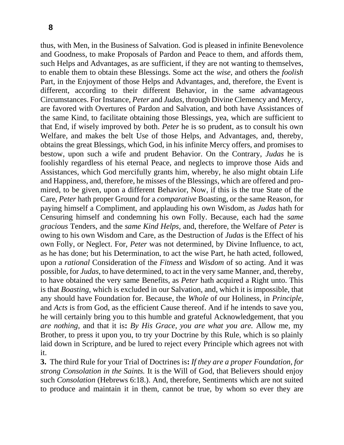thus, with Men, in the Business of Salvation. God is pleased in infinite Benevolence and Goodness, to make Proposals of Pardon and Peace to them, and affords them, such Helps and Advantages, as are sufficient, if they are not wanting to themselves, to enable them to obtain these Blessings. Some act the *wise,* and others the *foolish*  Part, in the Enjoyment of those Helps and Advantages, and, therefore, the Event is different, according to their different Behavior, in the same advantageous Circumstances. For Instance, *Peter* and *Judas,* through Divine Clemency and Mercy, are favored with Overtures of Pardon and Salvation, and both have Assistances of the same Kind, to facilitate obtaining those Blessings, yea, which are sufficient to that End, if wisely improved by both. *Peter* he is so prudent, as to consult his own Welfare, and makes the belt Use of those Helps, and Advantages, and, thereby, obtains the great Blessings, which God, in his infinite Mercy offers, and promises to bestow, upon such a wife and prudent Behavior. On the Contrary, *Judas* he is foolishly regardless of his eternal Peace, and neglects to improve those Aids and Assistances, which God mercifully grants him, whereby, he also might obtain Life and Happiness, and, therefore, he misses of the Blessings, which are offered and promired, to be given, upon a different Behavior, Now, if this is the true State of the Care, *Peter* hath proper Ground for a *comparative* Boasting, or the same Reason, for paying himself a Compliment, and applauding his own Wisdom, as *Judas* hath for Censuring himself and condemning his own Folly. Because, each had the *same gracious* Tenders, and the *same Kind Helps,* and, therefore, the Welfare of *Peter* is owing to his own Wisdom and Care, as the Destruction of *Judas* is the Effect of his own Folly, or Neglect. For, *Peter* was not determined, by Divine Influence, to act, as he has done; but his Determination, to act the wise Part, he hath acted, followed, upon a *rational* Consideration of the *Fitness* and *Wisdom* of so acting. And it was possible, for *Judas,* to have determined, to act in the very same Manner, and, thereby, to have obtained the very same Benefits, as *Peter* hath acquired a Right unto. This is that *Boasting,* which is excluded in our Salvation, and, which it is impossible, that any should have Foundation for. Because, the *Whole* of our Holiness, in *Principle,*  and *Acts* is from God, as the efficient Cause thereof. And if he intends to save you, he will certainly bring you to this humble and grateful Acknowledgement, that you *are nothing,* and that it is**:** *By His Grace, you are what you are.* Allow me, my Brother, to press it upon you, to try your Doctrine by this Rule, which is so plainly laid down in Scripture, and be lured to reject every Principle which agrees not with it.

**3.** The third Rule for your Trial of Doctrines is**:** *If they are a proper Foundation, for strong Consolation in the Saints.* It is the Will of God, that Believers should enjoy such *Consolation* (Hebrews 6:18.). And, therefore, Sentiments which are not suited to produce and maintain it in them, cannot be true, by whom so ever they are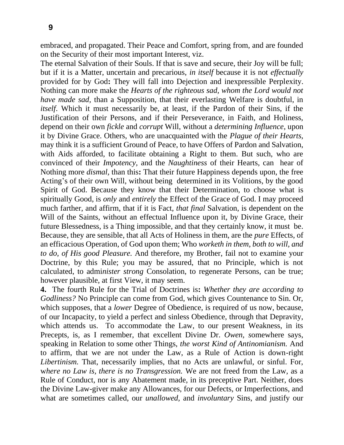embraced, and propagated. Their Peace and Comfort, spring from, and are founded on the Security of their most important Interest, viz.

The eternal Salvation of their Souls. If that is save and secure, their Joy will be full; but if it is a Matter, uncertain and precarious, *in itself* because it is not *effectually*  provided for by God**:** They will fall into Dejection and inexpressible Perplexity. Nothing can more make the *Hearts of the righteous sad, whom the Lord would not have made sad,* than a Supposition, that their everlasting Welfare is doubtful, in *itself*. Which it must necessarily be, at least, if the Pardon of their Sins, if the Justification of their Persons, and if their Perseverance, in Faith, and Holiness, depend on their own *fickle* and *corrupt* Will, without a *determining Influence,* upon it by Divine Grace. Others, who are unacquainted with the *Plague of their Hearts,*  may think it is a sufficient Ground of Peace, to have Offers of Pardon and Salvation, with Aids afforded, to facilitate obtaining a Right to them. But such, who are convinced of their *Impotency,* and the *Naughtiness* of their Hearts, can hear of Nothing more *dismal,* than this**:** That their future Happiness depends upon, the free Acting's of their own Will, without being determined in its Volitions, by the good Spirit of God. Because they know that their Determination, to choose what is spiritually Good, is *only* and *entirely* the Effect of the Grace of God. I may proceed much farther, and affirm, that if it is Fact, *that final* Salvation, is dependent on the Will of the Saints, without an effectual Influence upon it, by Divine Grace, their future Blessedness, is a Thing impossible, and that they certainly know, it must be. Because, they are sensible, that all Acts of Holiness in them, are the *pure* Effects, of an efficacious Operation, of God upon them; Who *worketh in them, both to will, and to do, of His good Pleasure.* And therefore, my Brother, fail not to examine your Doctrine, by this Rule; you may be assured, that no Principle, which is not calculated, to admi*nister strong* Consolation, to regenerate Persons, can be true; however plausible, at first View, it may seem.

**4.** The fourth Rule for the Trial of Doctrines is**:** *Whether they are according to Godliness?* No Principle can come from God, which gives Countenance to Sin. Or, which supposes, that a *lower* Degree of Obedience, is required of us now, because, of our Incapacity, to yield a perfect and sinless Obedience, through that Depravity, which attends us. To accommodate the Law, to our present Weakness, in its Precepts, is, as I remember, that excellent Divine Dr. *Owen, s*omewhere says, speaking in Relation to some other Things, *the worst Kind of Antinomianism.* And to affirm, that we are not under the Law, as a Rule of Action is down-right *Libertinism.* That, necessarily implies, that no Acts are unlawful, or sinful. For, w*here no Law is, there is no Transgression.* We are not freed from the Law, as a Rule of Conduct, nor is any Abatement made, in its preceptive Part. Neither, does the Divine Law-giver make any Allowances, for our Defects, or Imperfections, and what are sometimes called, our *unallowed,* and *involuntary* Sins, and justify our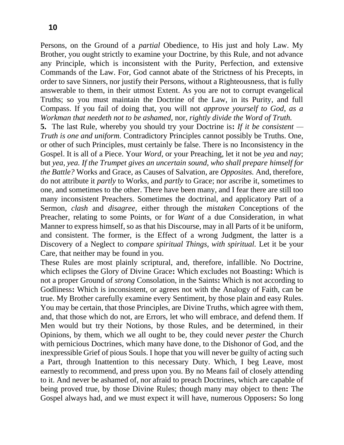Persons, on the Ground of a *partial* Obedience, to His just and holy Law. My Brother, you ought strictly to examine your Doctrine, by this Rule, and not advance any Principle, which is inconsistent with the Purity, Perfection, and extensive Commands of the Law. For, God cannot abate of the Strictness of his Precepts, in order to save Sinners, nor justify their Persons, without a Righteousness, that is fully answerable to them, in their utmost Extent. As you are not to corrupt evangelical Truths; so you must maintain the Doctrine of the Law, in its Purity, and full Compass. If you fail of doing that, you will not *approve yourself to God, as a Workman that needeth not to be ashamed,* nor, *rightly divide the Word of Truth.*

**5.** The last Rule, whereby you should try your Doctrine is**:** *If it be consistent — Truth is one and uniform.* Contradictory Principles cannot possibly be Truths. One, or other of such Principles, must certainly be false. There is no Inconsistency in the Gospel. It is all of a Piece. Your *Word,* or your Preaching, let it not be *yea* and *nay*; but *yea, yea. If the Trumpet gives an uncertain sound, who shall prepare himself for the Battle?* Works and Grace, as Causes of Salvation, are *Opposites.* And, therefore, do not attribute it *partly* to Works, and *partly* to Grace; nor ascribe it, sometimes to one, and sometimes to the other. There have been many, and I fear there are still too many inconsistent Preachers. Sometimes the doctrinal, and applicatory Part of a Sermon, *clash* and *disagree,* either through the *mistaken* Conceptions of the Preacher, relating to some Points, or for *Want* of a due Consideration, in what Manner to express himself, so as that his Discourse, may in all Parts of it be uniform, and consistent. The former, is the Effect of a wrong Judgment, the latter is a Discovery of a Neglect to *compare spiritual Things, with spiritual.* Let it be your Care, that neither may be found in you.

These Rules are most plainly scriptural, and, therefore, infallible. No Doctrine, which eclipses the Glory of Divine Grace**:** Which excludes not Boasting**:** Which is not a proper Ground of *strong* Consolation, in the Saints**:** Which is not according to Godliness**:** Which is inconsistent, or agrees not with the Analogy of Faith, can be true. My Brother carefully examine every Sentiment, by those plain and easy Rules. You may be certain, that those Principles, are Divine Truths, which agree with them, and, that those which do not, are Errors, let who will embrace, and defend them. If Men would but try their Notions, by those Rules, and be determined, in their Opinions, by them, which we all ought to be, they could never *pester* the Church with pernicious Doctrines, which many have done, to the Dishonor of God, and the inexpressible Grief of pious Souls. I hope that you will never be guilty of acting such a Part, through Inattention to this necessary Duty. Which, I beg Leave, most earnestly to recommend, and press upon you. By no Means fail of closely attending to it. And never be ashamed of, nor afraid to preach Doctrines, which are capable of being proved true, by those Divine Rules; though many may object to then**:** The Gospel always had, and we must expect it will have, numerous Opposers**:** So long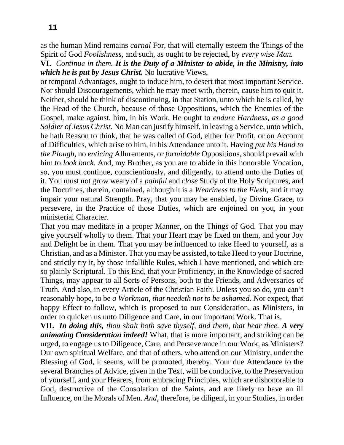as the human Mind remains *carnal* For, that will eternally esteem the Things of the Spirit of God *Foolishness,* and such, as ought to be rejected, by *every wise Man.*

**VI.** *Continue in them. It is the Duty of a Minister to abide, in the Ministry, into which he is put by Jesus Christ.* No lucrative Views,

or temporal Advantages, ought to induce him, to desert that most important Service. Nor should Discouragements, which he may meet with, therein, cause him to quit it. Neither, should he think of discontinuing, in that Station, unto which he is called, by the Head of the Church, because of those Oppositions, which the Enemies of the Gospel, make against. him, in his Work. He ought to *endure Hardness, as a good Soldier of Jesus Christ.* No Man can justify himself, in leaving a Service, unto which, he hath Reason to think, that he was called of God, either for Profit, or on Account of Difficulties, which arise to him, in his Attendance unto it. Having *put his Hand to the Plough,* no *enticing* Allurements, or *formidable* Oppositions, should prevail with him to *look back.* And, my Brother, as you are to abide in this honorable Vocation, so, you must continue, conscientiously, and diligently, to attend unto the Duties of it. You must not grow weary of a *painful* and *close* Study of the Holy Scriptures, and the Doctrines, therein, contained, although it is a *Weariness to the Flesh,* and it may impair your natural Strength. Pray, that you may be enabled, by Divine Grace, to persevere, in the Practice of those Duties, which are enjoined on you, in your ministerial Character.

That you may meditate in a proper Manner, on the Things of God. That you may give yourself wholly to them. That your Heart may be fixed on them, and your Joy and Delight be in them. That you may be influenced to take Heed to yourself, as a Christian, and as a Minister. That you may be assisted, to take Heed to your Doctrine, and strictly try it, by those infallible Rules, which I have mentioned, and which are so plainly Scriptural. To this End, that your Proficiency, in the Knowledge of sacred Things, may appear to all Sorts of Persons, both to the Friends, and Adversaries of Truth. And also, in every Article of the Christian Faith. Unless you so do, you can't reasonably hope, to be *a Workman, that needeth not to be ashamed.* Nor expect, that happy Effect to follow, which is proposed to our Consideration, as Ministers, in order to quicken us unto Diligence and Care, in our important Work. That is,

**VII.** *In doing this, thou shalt both save thyself, and them, that hear thee. A very animating Consideration indeed!* What, that is more important, and striking can be urged, to engage us to Diligence, Care, and Perseverance in our Work, as Ministers? Our own spiritual Welfare, and that of others, who attend on our Ministry, under the Blessing of God, it seems, will be promoted, thereby. Your due Attendance to the several Branches of Advice, given in the Text, will be conducive, to the Preservation of yourself, and your Hearers, from embracing Principles, which are dishonorable to God, destructive of the Consolation of the Saints, and are likely to have an ill Influence, on the Morals of Men. *And,* therefore, be diligent, in your Studies, in order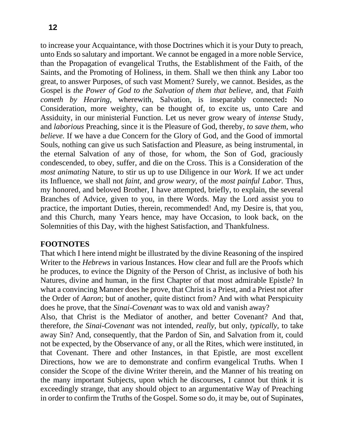to increase your Acquaintance, with those Doctrines which it is your Duty to preach, unto Ends so salutary and important. We cannot be engaged in a more noble Service, than the Propagation of evangelical Truths, the Establishment of the Faith, of the Saints, and the Promoting of Holiness, in them. Shall we then think any Labor too great, to answer Purposes, of such vast Moment? Surely, we cannot. Besides, as the Gospel is *the Power of God to the Salvation of them that believe,* and, that *Faith cometh by Hearing,* wherewith, Salvation, is inseparably connected**:** No Consideration, more weighty, can be thought of, to excite us, unto Care and Assiduity, in our ministerial Function. Let us never grow weary of *intense* Study, and *laborious* Preaching, since it is the Pleasure of God, thereby, *to save them, who believe.* If we have a due Concern for the Glory of God, and the Good of immortal Souls, nothing can give us such Satisfaction and Pleasure, as being instrumental, in the eternal Salvation of any of those, for whom, the Son of God, graciously condescended, to obey, suffer, and die on the Cross. This is a Consideration of the *most animating* Nature, to stir us up to use Diligence in our *Work.* If we act under its Influence, we shall not *faint,* and *grow weary,* of the *most painful Labor.* Thus, my honored, and beloved Brother, I have attempted, briefly, to explain, the several Branches of Advice, given to you, in there Words. May the Lord assist you to practice, the important Duties, therein, recommended! And, my Desire is, that you, and this Church, many Years hence, may have Occasion, to look back, on the Solemnities of this Day, with the highest Satisfaction, and Thankfulness.

## **FOOTNOTES**

That which I here intend might be illustrated by the divine Reasoning of the inspired Writer to the *Hebrews* in various Instances. How clear and full are the Proofs which he produces, to evince the Dignity of the Person of Christ, as inclusive of both his Natures, divine and human, in the first Chapter of that most admirable Epistle? In what a convincing Manner does he prove, that Christ is a Priest, and a Priest not after the Order of *Aaron*; but of another, quite distinct from? And with what Perspicuity does he prove, that the *Sinai-Covenant* was to wax old and vanish away?

Also, that Christ is the Mediator of another, and better Covenant? And that, therefore, *the Sinai-Covenant* was not intended, *really,* but only, *typically,* to take away Sin? And, consequently, that the Pardon of Sin, and Salvation from it, could not be expected, by the Observance of any, or all the Rites, which were instituted, in that Covenant. There and other Instances, in that Epistle, are most excellent Directions, how we are to demonstrate and confirm evangelical Truths. When I consider the Scope of the divine Writer therein, and the Manner of his treating on the many important Subjects, upon which he discourses, I cannot but think it is exceedingly strange, that any should object to an argumentative Way of Preaching in order to confirm the Truths of the Gospel. Some so do, it may be, out of Supinates,